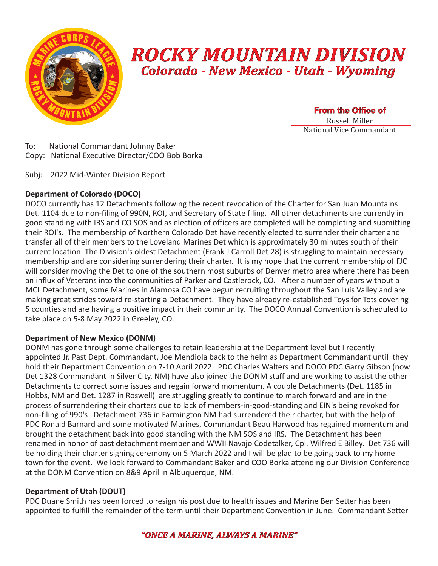

# *ROCKY MOUNTAIN DIVISION Colorado - New Mexico - Utah - Wyoming*

From the Office of Russell Miller National Vice Commandant

To: National Commandant Johnny Baker Copy: National Executive Director/COO Bob Borka

Subj: 2022 Mid-Winter Division Report

## **Department of Colorado (DOCO)**

DOCO currently has 12 Detachments following the recent revocation of the Charter for San Juan Mountains Det. 1104 due to non-filing of 990N, ROI, and Secretary of State filing. All other detachments are currently in good standing with IRS and CO SOS and as election of officers are completed will be completing and submitting their ROI's. The membership of Northern Colorado Det have recently elected to surrender their charter and transfer all of their members to the Loveland Marines Det which is approximately 30 minutes south of their current location. The Division's oldest Detachment (Frank J Carroll Det 28) is struggling to maintain necessary membership and are considering surrendering their charter. It is my hope that the current membership of FJC will consider moving the Det to one of the southern most suburbs of Denver metro area where there has been an influx of Veterans into the communities of Parker and Castlerock, CO. After a number of years without a MCL Detachment, some Marines in Alamosa CO have begun recruiting throughout the San Luis Valley and are making great strides toward re-starting a Detachment. They have already re-established Toys for Tots covering 5 counties and are having a positive impact in their community. The DOCO Annual Convention is scheduled to take place on 5-8 May 2022 in Greeley, CO.

### **Department of New Mexico (DONM)**

DONM has gone through some challenges to retain leadership at the Department level but I recently appointed Jr. Past Dept. Commandant, Joe Mendiola back to the helm as Department Commandant until they hold their Department Convention on 7-10 April 2022. PDC Charles Walters and DOCO PDC Garry Gibson (now Det 1328 Commandant in Silver City, NM) have also joined the DONM staff and are working to assist the other Detachments to correct some issues and regain forward momentum. A couple Detachments (Det. 1185 in Hobbs, NM and Det. 1287 in Roswell) are struggling greatly to continue to march forward and are in the process of surrendering their charters due to lack of members-in-good-standing and EIN's being revoked for non-filing of 990's Detachment 736 in Farmington NM had surrendered their charter, but with the help of PDC Ronald Barnard and some motivated Marines, Commandant Beau Harwood has regained momentum and brought the detachment back into good standing with the NM SOS and IRS. The Detachment has been renamed in honor of past detachment member and WWII Navajo Codetalker, Cpl. Wilfred E Billey. Det 736 will be holding their charter signing ceremony on 5 March 2022 and I will be glad to be going back to my home town for the event. We look forward to Commandant Baker and COO Borka attending our Division Conference at the DONM Convention on 8&9 April in Albuquerque, NM.

### **Department of Utah (DOUT)**

PDC Duane Smith has been forced to resign his post due to health issues and Marine Ben Setter has been appointed to fulfill the remainder of the term until their Department Convention in June. Commandant Setter

## *"ONCE A MARINE, ALWAYS A MARINE"*